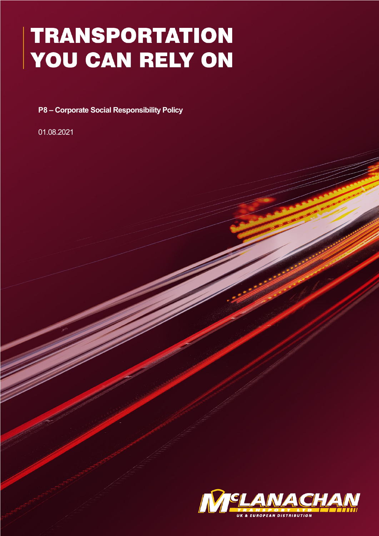## **TRANSPORTATION** YOU CAN RELY ON

**P8 – Corporate Social Responsibility Policy** 

01.08.2021

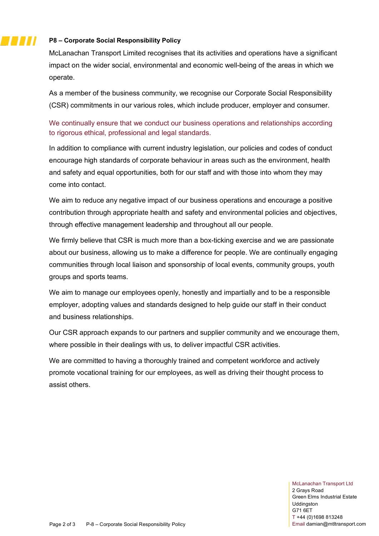## **P8 – Corporate Social Responsibility Policy**

77 J J J

McLanachan Transport Limited recognises that its activities and operations have a significant impact on the wider social, environmental and economic well-being of the areas in which we operate.

As a member of the business community, we recognise our Corporate Social Responsibility (CSR) commitments in our various roles, which include producer, employer and consumer.

We continually ensure that we conduct our business operations and relationships according to rigorous ethical, professional and legal standards.

In addition to compliance with current industry legislation, our policies and codes of conduct encourage high standards of corporate behaviour in areas such as the environment, health and safety and equal opportunities, both for our staff and with those into whom they may come into contact.

We aim to reduce any negative impact of our business operations and encourage a positive contribution through appropriate health and safety and environmental policies and objectives, through effective management leadership and throughout all our people.

We firmly believe that CSR is much more than a box-ticking exercise and we are passionate about our business, allowing us to make a difference for people. We are continually engaging communities through local liaison and sponsorship of local events, community groups, youth groups and sports teams.

We aim to manage our employees openly, honestly and impartially and to be a responsible employer, adopting values and standards designed to help guide our staff in their conduct and business relationships.

Our CSR approach expands to our partners and supplier community and we encourage them, where possible in their dealings with us, to deliver impactful CSR activities.

We are committed to having a thoroughly trained and competent workforce and actively promote vocational training for our employees, as well as driving their thought process to assist others.

> McLanachan Transport Ltd 2 Grays Road Green Elms Industrial Estate Uddingston G71 6ET T +44 (0)1698 813248